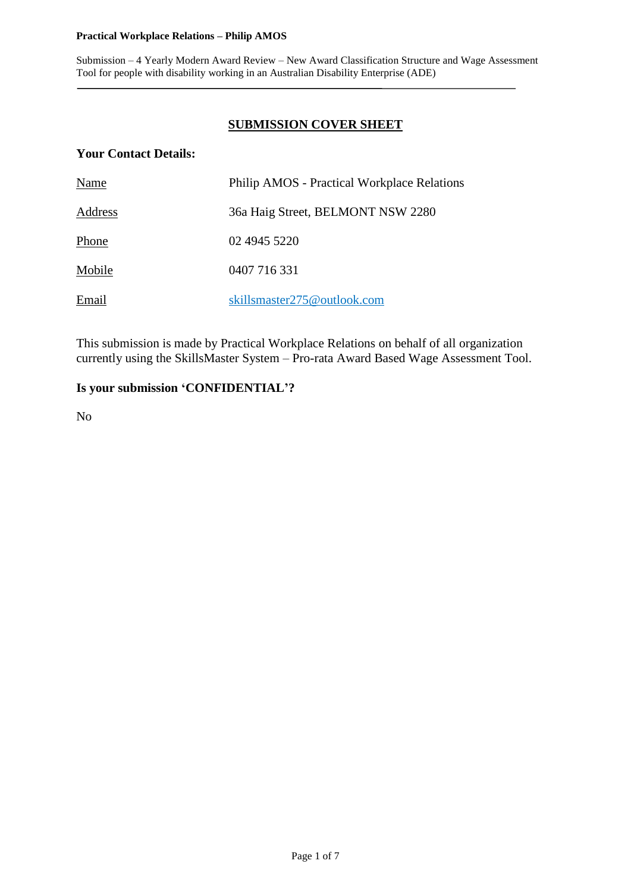### **Practical Workplace Relations – Philip AMOS**

Submission – 4 Yearly Modern Award Review – New Award Classification Structure and Wage Assessment Tool for people with disability working in an Australian Disability Enterprise (ADE)

### **SUBMISSION COVER SHEET**

### **Your Contact Details:**

| Name    | <b>Philip AMOS</b> - Practical Workplace Relations |
|---------|----------------------------------------------------|
| Address | 36a Haig Street, BELMONT NSW 2280                  |
| Phone   | 02 4945 5220                                       |
| Mobile  | 0407 716 331                                       |
| Email   | skillsmaster275@outlook.com                        |

This submission is made by Practical Workplace Relations on behalf of all organization currently using the SkillsMaster System – Pro-rata Award Based Wage Assessment Tool.

### **Is your submission 'CONFIDENTIAL'?**

No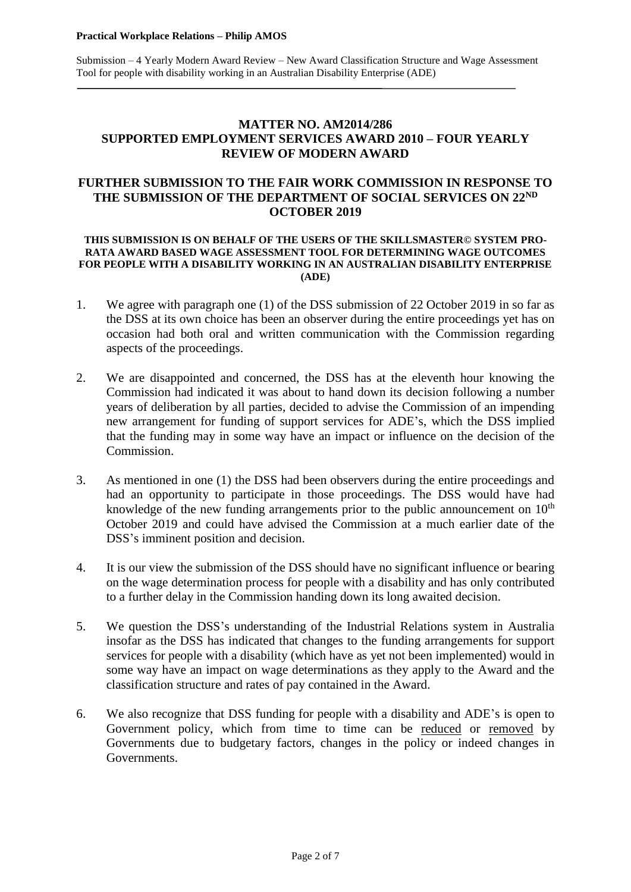### **MATTER NO. AM2014/286 SUPPORTED EMPLOYMENT SERVICES AWARD 2010 – FOUR YEARLY REVIEW OF MODERN AWARD**

### **FURTHER SUBMISSION TO THE FAIR WORK COMMISSION IN RESPONSE TO THE SUBMISSION OF THE DEPARTMENT OF SOCIAL SERVICES ON 22ND OCTOBER 2019**

### **THIS SUBMISSION IS ON BEHALF OF THE USERS OF THE SKILLSMASTER© SYSTEM PRO-RATA AWARD BASED WAGE ASSESSMENT TOOL FOR DETERMINING WAGE OUTCOMES FOR PEOPLE WITH A DISABILITY WORKING IN AN AUSTRALIAN DISABILITY ENTERPRISE (ADE)**

- 1. We agree with paragraph one (1) of the DSS submission of 22 October 2019 in so far as the DSS at its own choice has been an observer during the entire proceedings yet has on occasion had both oral and written communication with the Commission regarding aspects of the proceedings.
- 2. We are disappointed and concerned, the DSS has at the eleventh hour knowing the Commission had indicated it was about to hand down its decision following a number years of deliberation by all parties, decided to advise the Commission of an impending new arrangement for funding of support services for ADE's, which the DSS implied that the funding may in some way have an impact or influence on the decision of the Commission.
- 3. As mentioned in one (1) the DSS had been observers during the entire proceedings and had an opportunity to participate in those proceedings. The DSS would have had knowledge of the new funding arrangements prior to the public announcement on  $10<sup>th</sup>$ October 2019 and could have advised the Commission at a much earlier date of the DSS's imminent position and decision.
- 4. It is our view the submission of the DSS should have no significant influence or bearing on the wage determination process for people with a disability and has only contributed to a further delay in the Commission handing down its long awaited decision.
- 5. We question the DSS's understanding of the Industrial Relations system in Australia insofar as the DSS has indicated that changes to the funding arrangements for support services for people with a disability (which have as yet not been implemented) would in some way have an impact on wage determinations as they apply to the Award and the classification structure and rates of pay contained in the Award.
- 6. We also recognize that DSS funding for people with a disability and ADE's is open to Government policy, which from time to time can be reduced or removed by Governments due to budgetary factors, changes in the policy or indeed changes in Governments.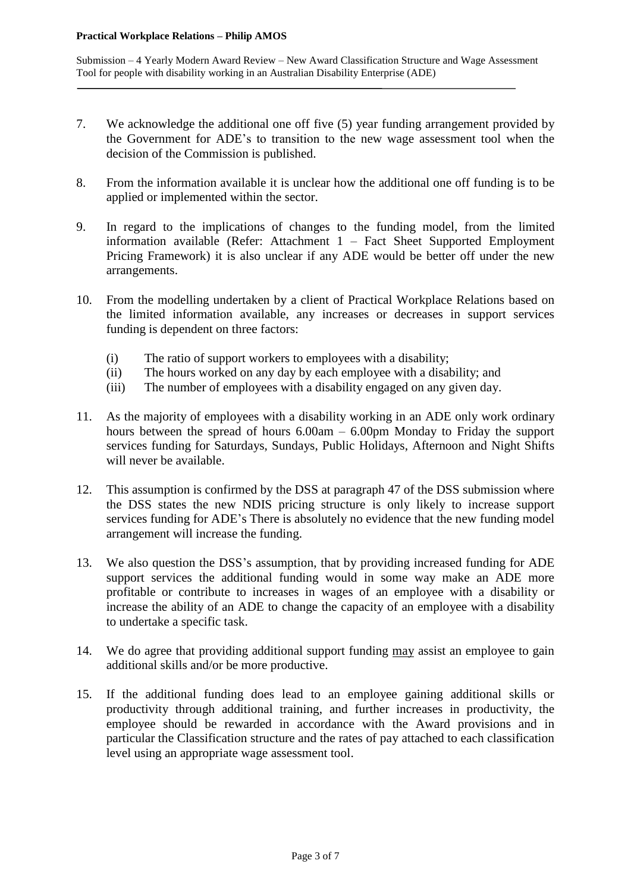- 7. We acknowledge the additional one off five (5) year funding arrangement provided by the Government for ADE's to transition to the new wage assessment tool when the decision of the Commission is published.
- 8. From the information available it is unclear how the additional one off funding is to be applied or implemented within the sector.
- 9. In regard to the implications of changes to the funding model, from the limited information available (Refer: Attachment 1 – Fact Sheet Supported Employment Pricing Framework) it is also unclear if any ADE would be better off under the new arrangements.
- 10. From the modelling undertaken by a client of Practical Workplace Relations based on the limited information available, any increases or decreases in support services funding is dependent on three factors:
	- (i) The ratio of support workers to employees with a disability;
	- (ii) The hours worked on any day by each employee with a disability; and
	- (iii) The number of employees with a disability engaged on any given day.
- 11. As the majority of employees with a disability working in an ADE only work ordinary hours between the spread of hours 6.00am – 6.00pm Monday to Friday the support services funding for Saturdays, Sundays, Public Holidays, Afternoon and Night Shifts will never be available.
- 12. This assumption is confirmed by the DSS at paragraph 47 of the DSS submission where the DSS states the new NDIS pricing structure is only likely to increase support services funding for ADE's There is absolutely no evidence that the new funding model arrangement will increase the funding.
- 13. We also question the DSS's assumption, that by providing increased funding for ADE support services the additional funding would in some way make an ADE more profitable or contribute to increases in wages of an employee with a disability or increase the ability of an ADE to change the capacity of an employee with a disability to undertake a specific task.
- 14. We do agree that providing additional support funding may assist an employee to gain additional skills and/or be more productive.
- 15. If the additional funding does lead to an employee gaining additional skills or productivity through additional training, and further increases in productivity, the employee should be rewarded in accordance with the Award provisions and in particular the Classification structure and the rates of pay attached to each classification level using an appropriate wage assessment tool.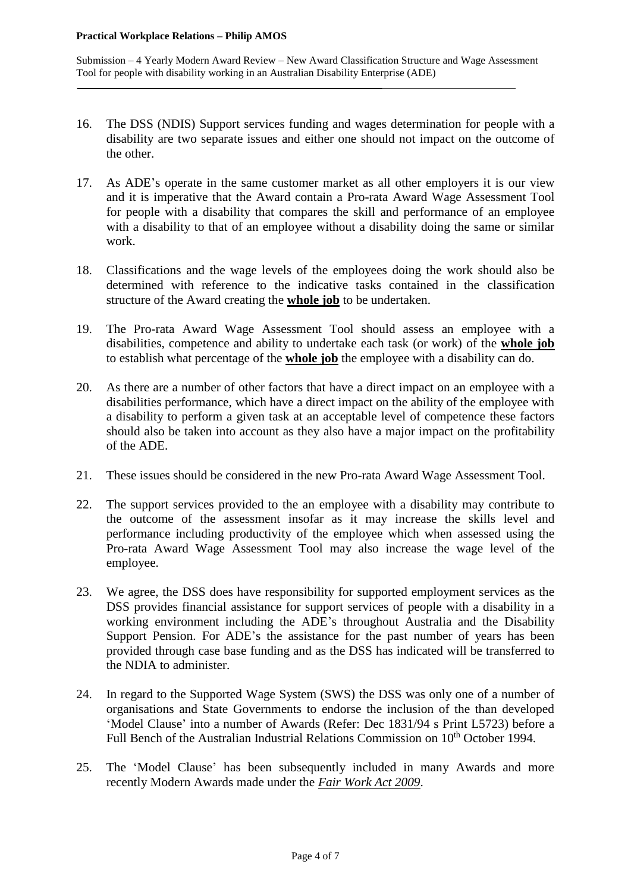- 16. The DSS (NDIS) Support services funding and wages determination for people with a disability are two separate issues and either one should not impact on the outcome of the other.
- 17. As ADE's operate in the same customer market as all other employers it is our view and it is imperative that the Award contain a Pro-rata Award Wage Assessment Tool for people with a disability that compares the skill and performance of an employee with a disability to that of an employee without a disability doing the same or similar work.
- 18. Classifications and the wage levels of the employees doing the work should also be determined with reference to the indicative tasks contained in the classification structure of the Award creating the **whole job** to be undertaken.
- 19. The Pro-rata Award Wage Assessment Tool should assess an employee with a disabilities, competence and ability to undertake each task (or work) of the **whole job** to establish what percentage of the **whole job** the employee with a disability can do.
- 20. As there are a number of other factors that have a direct impact on an employee with a disabilities performance, which have a direct impact on the ability of the employee with a disability to perform a given task at an acceptable level of competence these factors should also be taken into account as they also have a major impact on the profitability of the ADE.
- 21. These issues should be considered in the new Pro-rata Award Wage Assessment Tool.
- 22. The support services provided to the an employee with a disability may contribute to the outcome of the assessment insofar as it may increase the skills level and performance including productivity of the employee which when assessed using the Pro-rata Award Wage Assessment Tool may also increase the wage level of the employee.
- 23. We agree, the DSS does have responsibility for supported employment services as the DSS provides financial assistance for support services of people with a disability in a working environment including the ADE's throughout Australia and the Disability Support Pension. For ADE's the assistance for the past number of years has been provided through case base funding and as the DSS has indicated will be transferred to the NDIA to administer.
- 24. In regard to the Supported Wage System (SWS) the DSS was only one of a number of organisations and State Governments to endorse the inclusion of the than developed 'Model Clause' into a number of Awards (Refer: Dec 1831/94 s Print L5723) before a Full Bench of the Australian Industrial Relations Commission on 10<sup>th</sup> October 1994.
- 25. The 'Model Clause' has been subsequently included in many Awards and more recently Modern Awards made under the *Fair Work Act 2009*.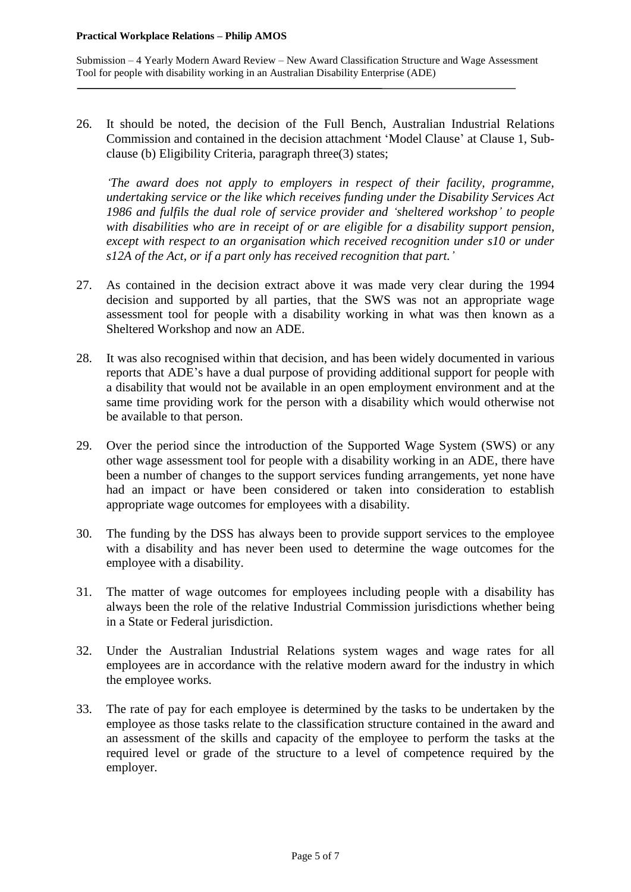26. It should be noted, the decision of the Full Bench, Australian Industrial Relations Commission and contained in the decision attachment 'Model Clause' at Clause 1, Subclause (b) Eligibility Criteria, paragraph three(3) states;

*'The award does not apply to employers in respect of their facility, programme, undertaking service or the like which receives funding under the Disability Services Act 1986 and fulfils the dual role of service provider and 'sheltered workshop' to people with disabilities who are in receipt of or are eligible for a disability support pension, except with respect to an organisation which received recognition under s10 or under s12A of the Act, or if a part only has received recognition that part.'*

- 27. As contained in the decision extract above it was made very clear during the 1994 decision and supported by all parties, that the SWS was not an appropriate wage assessment tool for people with a disability working in what was then known as a Sheltered Workshop and now an ADE.
- 28. It was also recognised within that decision, and has been widely documented in various reports that ADE's have a dual purpose of providing additional support for people with a disability that would not be available in an open employment environment and at the same time providing work for the person with a disability which would otherwise not be available to that person.
- 29. Over the period since the introduction of the Supported Wage System (SWS) or any other wage assessment tool for people with a disability working in an ADE, there have been a number of changes to the support services funding arrangements, yet none have had an impact or have been considered or taken into consideration to establish appropriate wage outcomes for employees with a disability.
- 30. The funding by the DSS has always been to provide support services to the employee with a disability and has never been used to determine the wage outcomes for the employee with a disability.
- 31. The matter of wage outcomes for employees including people with a disability has always been the role of the relative Industrial Commission jurisdictions whether being in a State or Federal jurisdiction.
- 32. Under the Australian Industrial Relations system wages and wage rates for all employees are in accordance with the relative modern award for the industry in which the employee works.
- 33. The rate of pay for each employee is determined by the tasks to be undertaken by the employee as those tasks relate to the classification structure contained in the award and an assessment of the skills and capacity of the employee to perform the tasks at the required level or grade of the structure to a level of competence required by the employer.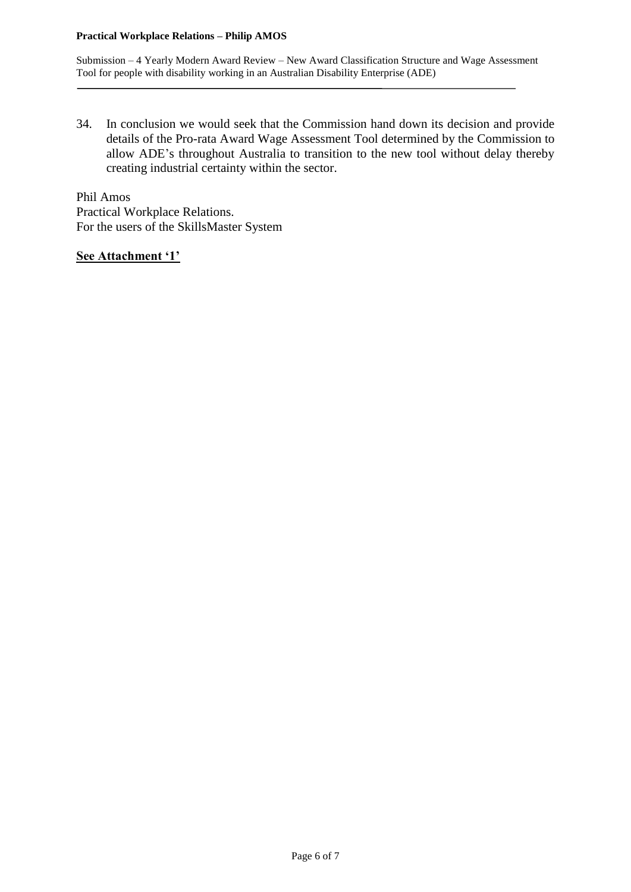### **Practical Workplace Relations – Philip AMOS**

Submission – 4 Yearly Modern Award Review – New Award Classification Structure and Wage Assessment Tool for people with disability working in an Australian Disability Enterprise (ADE)

34. In conclusion we would seek that the Commission hand down its decision and provide details of the Pro-rata Award Wage Assessment Tool determined by the Commission to allow ADE's throughout Australia to transition to the new tool without delay thereby creating industrial certainty within the sector.

Phil Amos Practical Workplace Relations. For the users of the SkillsMaster System

**See Attachment '1'**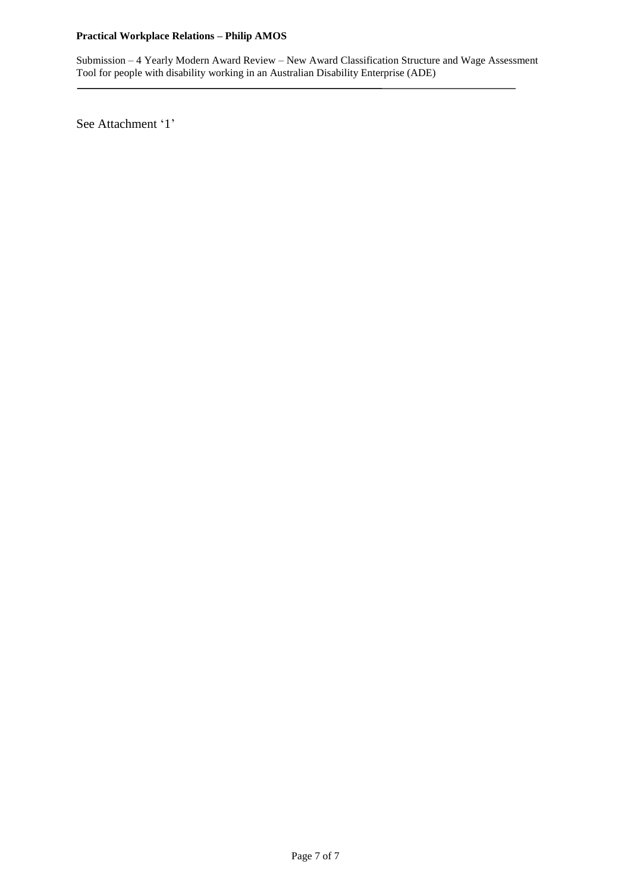### **Practical Workplace Relations – Philip AMOS**

Submission – 4 Yearly Modern Award Review – New Award Classification Structure and Wage Assessment Tool for people with disability working in an Australian Disability Enterprise (ADE)

See Attachment '1'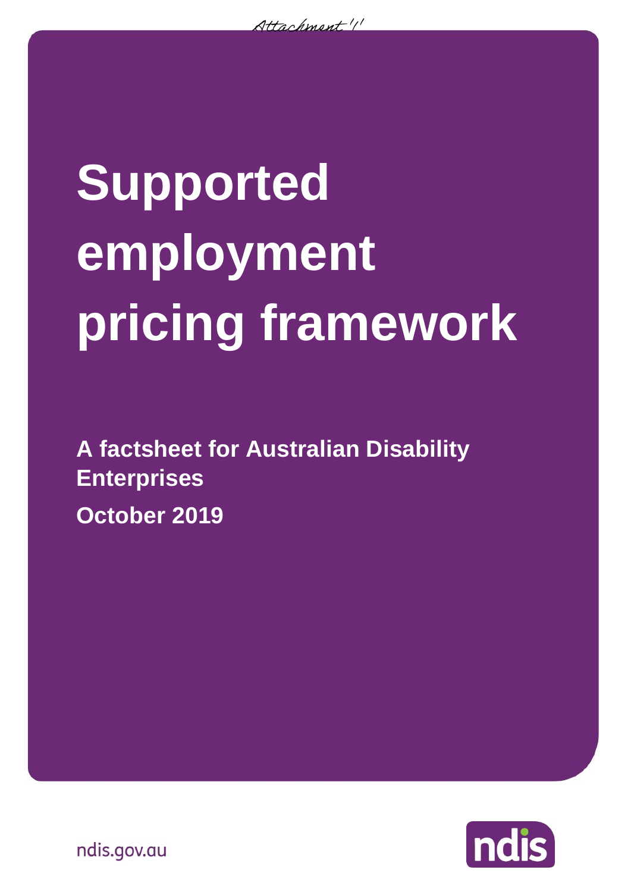$\lambda$ ttachment  $''$ 

# **Supported employment pricing framework**

**A factsheet for Australian Disability Enterprises October 2019**



ndis.gov.au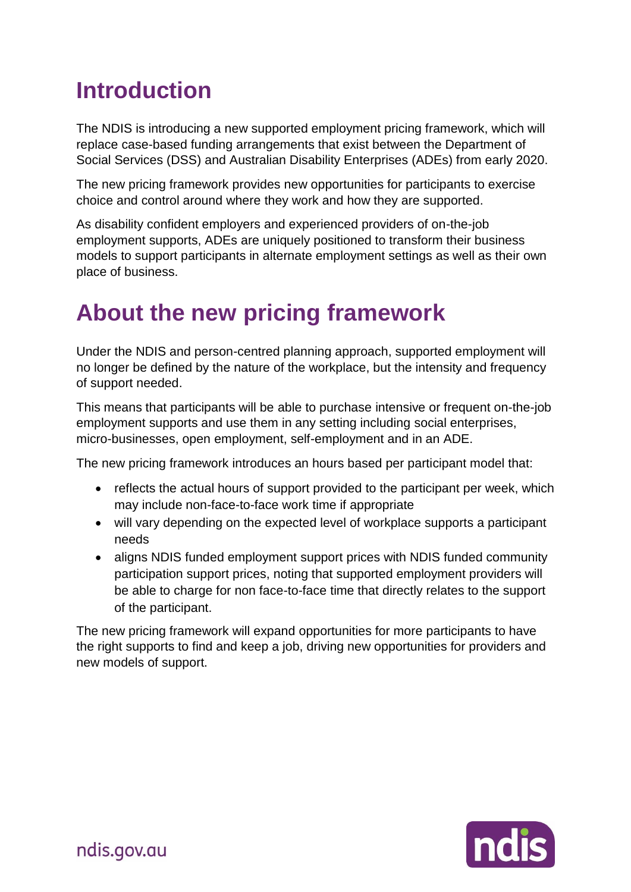# **Introduction**

The NDIS is introducing a new supported employment pricing framework, which will replace case-based funding arrangements that exist between the Department of Social Services (DSS) and Australian Disability Enterprises (ADEs) from early 2020.

The new pricing framework provides new opportunities for participants to exercise choice and control around where they work and how they are supported.

As disability confident employers and experienced providers of on-the-job employment supports, ADEs are uniquely positioned to transform their business models to support participants in alternate employment settings as well as their own place of business.

## **About the new pricing framework**

Under the NDIS and person-centred planning approach, supported employment will no longer be defined by the nature of the workplace, but the intensity and frequency of support needed.

This means that participants will be able to purchase intensive or frequent on-the-job employment supports and use them in any setting including social enterprises, micro-businesses, open employment, self-employment and in an ADE.

The new pricing framework introduces an hours based per participant model that:

- reflects the actual hours of support provided to the participant per week, which may include non-face-to-face work time if appropriate
- will vary depending on the expected level of workplace supports a participant needs
- aligns NDIS funded employment support prices with NDIS funded community participation support prices, noting that supported employment providers will be able to charge for non face-to-face time that directly relates to the support of the participant.

The new pricing framework will expand opportunities for more participants to have the right supports to find and keep a job, driving new opportunities for providers and new models of support.

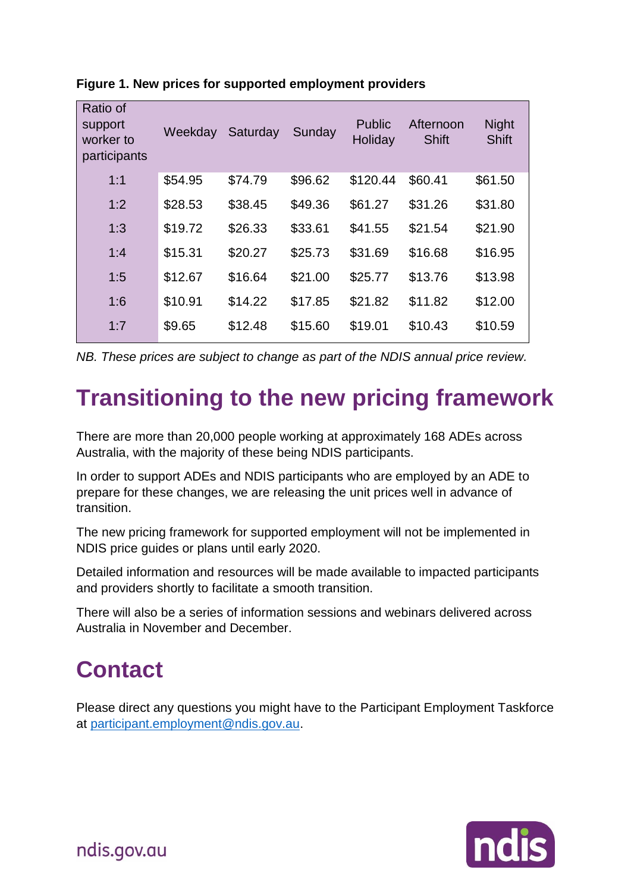| Ratio of<br>support<br>worker to<br>participants | Weekday | Saturday | Sunday  | <b>Public</b><br>Holiday | Afternoon<br><b>Shift</b> | <b>Night</b><br><b>Shift</b> |
|--------------------------------------------------|---------|----------|---------|--------------------------|---------------------------|------------------------------|
| 1:1                                              | \$54.95 | \$74.79  | \$96.62 | \$120.44                 | \$60.41                   | \$61.50                      |
| 1:2                                              | \$28.53 | \$38.45  | \$49.36 | \$61.27                  | \$31.26                   | \$31.80                      |
| 1:3                                              | \$19.72 | \$26.33  | \$33.61 | \$41.55                  | \$21.54                   | \$21.90                      |
| 1:4                                              | \$15.31 | \$20.27  | \$25.73 | \$31.69                  | \$16.68                   | \$16.95                      |
| 1:5                                              | \$12.67 | \$16.64  | \$21.00 | \$25.77                  | \$13.76                   | \$13.98                      |
| 1:6                                              | \$10.91 | \$14.22  | \$17.85 | \$21.82                  | \$11.82                   | \$12.00                      |
| 1:7                                              | \$9.65  | \$12.48  | \$15.60 | \$19.01                  | \$10.43                   | \$10.59                      |

**Figure 1. New prices for supported employment providers** 

*NB. These prices are subject to change as part of the NDIS annual price review.* 

## **Transitioning to the new pricing framework**

There are more than 20,000 people working at approximately 168 ADEs across Australia, with the majority of these being NDIS participants.

In order to support ADEs and NDIS participants who are employed by an ADE to prepare for these changes, we are releasing the unit prices well in advance of transition.

The new pricing framework for supported employment will not be implemented in NDIS price guides or plans until early 2020.

Detailed information and resources will be made available to impacted participants and providers shortly to facilitate a smooth transition.

There will also be a series of information sessions and webinars delivered across Australia in November and December.

## **Contact**

Please direct any questions you might have to the Participant Employment Taskforce at [participant.employment@ndis.gov.au.](mailto:participant.employment@ndis.gov.au)